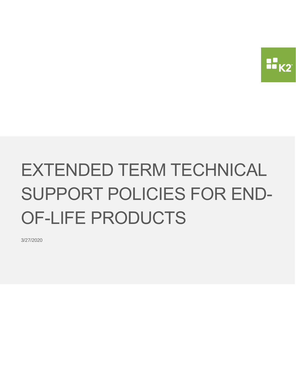

# EXTENDED TERM TECHNICAL SUPPORT POLICIES FOR END-OF-LIFE PRODUCTS

3/27/2020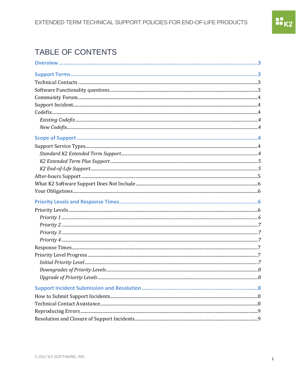## TABLE OF CONTENTS

| 8 |
|---|
|   |
|   |
|   |
|   |
|   |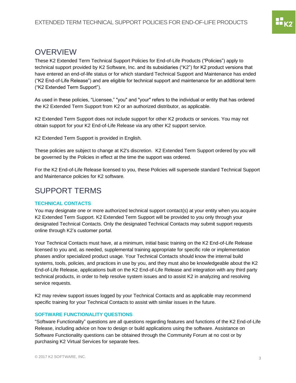## <span id="page-3-0"></span>**OVERVIEW**

These K2 Extended Term Technical Support Policies for End-of-Life Products ("Policies") apply to technical support provided by K2 Software, Inc. and its subsidiaries ("K2") for K2 product versions that have entered an end-of-life status or for which standard Technical Support and Maintenance has ended ("K2 End-of-Life Release") and are eligible for technical support and maintenance for an additional term ("K2 Extended Term Support").

As used in these policies, "Licensee," "you" and "your" refers to the individual or entity that has ordered the K2 Extended Term Support from K2 or an authorized distributor, as applicable.

K2 Extended Term Support does not include support for other K2 products or services. You may not obtain support for your K2 End-of-Life Release via any other K2 support service.

K2 Extended Term Support is provided in English.

These policies are subject to change at K2's discretion. K2 Extended Term Support ordered by you will be governed by the Policies in effect at the time the support was ordered.

For the K2 End-of-Life Release licensed to you, these Policies will supersede standard Technical Support and Maintenance policies for K2 software.

## <span id="page-3-1"></span>SUPPORT TERMS

#### <span id="page-3-2"></span>**TECHNICAL CONTACTS**

You may designate one or more authorized technical support contact(s) at your entity when you acquire K2 Extended Term Support. K2 Extended Term Support will be provided to you only through your designated Technical Contacts. Only the designated Technical Contacts may submit support requests online through K2's customer portal.

Your Technical Contacts must have, at a minimum, initial basic training on the K2 End-of-Life Release licensed to you and, as needed, supplemental training appropriate for specific role or implementation phases and/or specialized product usage. Your Technical Contacts should know the internal build systems, tools, policies, and practices in use by you, and they must also be knowledgeable about the K2 End-of-Life Release, applications built on the K2 End-of-Life Release and integration with any third party technical products, in order to help resolve system issues and to assist K2 in analyzing and resolving service requests.

K2 may review support issues logged by your Technical Contacts and as applicable may recommend specific training for your Technical Contacts to assist with similar issues in the future.

#### <span id="page-3-3"></span>**SOFTWARE FUNCTIONALITY QUESTIONS**

"Software Functionality" questions are all questions regarding features and functions of the K2 End-of-Life Release, including advice on how to design or build applications using the software. Assistance on Software Functionality questions can be obtained through the Community Forum at no cost or by purchasing K2 Virtual Services for separate fees.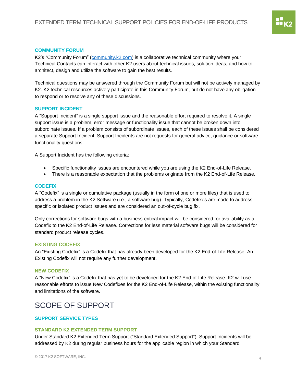#### <span id="page-4-0"></span>**COMMUNITY FORUM**

K2's "Community Forum" [\(community.k2.com\)](https://community.k2.com/) is a collaborative technical community where your Technical Contacts can interact with other K2 users about technical issues, solution ideas, and how to architect, design and utilize the software to gain the best results.

Technical questions may be answered through the Community Forum but will not be actively managed by K2. K2 technical resources actively participate in this Community Forum, but do not have any obligation to respond or to resolve any of these discussions.

#### <span id="page-4-1"></span>**SUPPORT INCIDENT**

A "Support Incident" is a single support issue and the reasonable effort required to resolve it. A single support issue is a problem, error message or functionality issue that cannot be broken down into subordinate issues. If a problem consists of subordinate issues, each of these issues shall be considered a separate Support Incident. Support Incidents are not requests for general advice, guidance or software functionality questions.

A Support Incident has the following criteria:

- Specific functionality issues are encountered while you are using the K2 End-of-Life Release.
- There is a reasonable expectation that the problems originate from the K2 End-of-Life Release.

#### <span id="page-4-2"></span>**CODEFIX**

A "Codefix" is a single or cumulative package (usually in the form of one or more files) that is used to address a problem in the K2 Software (i.e., a software bug). Typically, Codefixes are made to address specific or isolated product issues and are considered an out-of-cycle bug fix.

Only corrections for software bugs with a business-critical impact will be considered for availability as a Codefix to the K2 End-of-Life Release. Corrections for less material software bugs will be considered for standard product release cycles.

#### <span id="page-4-3"></span>**EXISTING CODEFIX**

An "Existing Codefix" is a Codefix that has already been developed for the K2 End-of-Life Release. An Existing Codefix will not require any further development.

#### <span id="page-4-4"></span>**NEW CODEFIX**

A "New Codefix" is a Codefix that has yet to be developed for the K2 End-of-Life Release. K2 will use reasonable efforts to issue New Codefixes for the K2 End-of-Life Release, within the existing functionality and limitations of the software.

## <span id="page-4-5"></span>SCOPE OF SUPPORT

#### <span id="page-4-7"></span><span id="page-4-6"></span>**SUPPORT SERVICE TYPES**

#### **STANDARD K2 EXTENDED TERM SUPPORT**

Under Standard K2 Extended Term Support ("Standard Extended Support"), Support Incidents will be addressed by K2 during regular business hours for the applicable region in which your Standard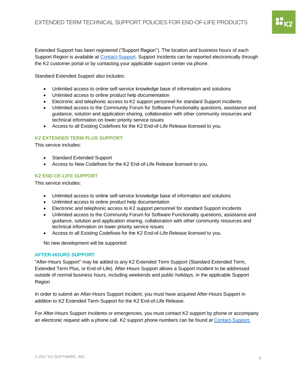Extended Support has been registered ("Support Region"). The location and business hours of each Support Region is available at [Contact-Support.](http://www.k2.com/support-services/support/contact-support) Support Incidents can be reported electronically through the K2 customer portal or by contacting your applicable support center via phone.

Standard Extended Support also includes:

- Unlimited access to online self-service knowledge base of information and solutions
- Unlimited access to online product help documentation
- Electronic and telephonic access to K2 support personnel for standard Support Incidents
- Unlimited access to the Community Forum for Software Functionality questions, assistance and guidance, solution and application sharing, collaboration with other community resources and technical information on lower priority service issues
- Access to all Existing Codefixes for the K2 End-of-Life Release licensed to you.

#### <span id="page-5-0"></span>**K2 EXTENDED TERM PLUS SUPPORT**

This service includes:

- Standard Extended Support
- Access to New Codefixes for the K2 End-of-Life Release licensed to you.

#### <span id="page-5-1"></span>**K2 END-OF-LIFE SUPPORT**

This service includes:

- Unlimited access to online self-service knowledge base of information and solutions
- Unlimited access to online product help documentation
- Electronic and telephonic access to K2 support personnel for standard Support Incidents
- Unlimited access to the Community Forum for Software Functionality questions, assistance and guidance, solution and application sharing, collaboration with other community resources and technical information on lower priority service issues
- Access to all Existing Codefixes for the K2 End-of-Life Release licensed to you.

No new development will be supported

#### <span id="page-5-2"></span>**AFTER-HOURS SUPPORT**

"After-Hours Support" may be added to any K2 Extended Term Support (Standard Extended Term, Extended Term Plus, or End-of-Life). After-Hours Support allows a Support Incident to be addressed outside of normal business hours, including weekends and public holidays, in the applicable Support Region

In order to submit an After-Hours Support Incident, you must have acquired After-Hours Support in addition to K2 Extended Term Support for the K2 End-of-Life Release.

For After-Hours Support Incidents or emergencies, you must contact K2 support by phone or accompany an electronic request with a phone call. K2 support phone numbers can be found at [Contact-Support.](http://www.k2.com/support-services/support/contact-support)

88<br>88 K2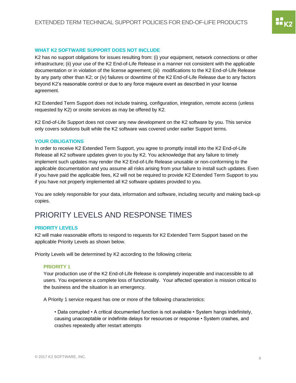### <span id="page-6-0"></span>**WHAT K2 SOFTWARE SUPPORT DOES NOT INCLUDE**

K2 has no support obligations for issues resulting from: (i) your equipment, network connections or other infrastructure; (ii) your use of the K2 End-of-Life Release in a manner not consistent with the applicable documentation or in violation of the license agreement; (iii) modifications to the K2 End-of-Life Release by any party other than K2; or (iv) failures or downtime of the K2 End-of-Life Release due to any factors beyond K2's reasonable control or due to any force majeure event as described in your license agreement.

K2 Extended Term Support does not include training, configuration, integration, remote access (unless requested by K2) or onsite services as may be offered by K2.

K2 End-of-Life Support does not cover any new development on the K2 software by you. This service only covers solutions built while the K2 software was covered under earlier Support terms.

#### <span id="page-6-1"></span>**YOUR OBLIGATIONS**

In order to receive K2 Extended Term Support, you agree to promptly install into the K2 End-of-Life Release all K2 software updates given to you by K2. You acknowledge that any failure to timely implement such updates may render the K2 End-of-Life Release unusable or non-conforming to the applicable documentation and you assume all risks arising from your failure to install such updates. Even if you have paid the applicable fees, K2 will not be required to provide K2 Extended Term Support to you if you have not properly implemented all K2 software updates provided to you.

You are solely responsible for your data, information and software, including security and making back-up copies.

## <span id="page-6-2"></span>PRIORITY LEVELS AND RESPONSE TIMES

#### <span id="page-6-3"></span>**PRIORITY LEVELS**

K2 will make reasonable efforts to respond to requests for K2 Extended Term Support based on the applicable Priority Levels as shown below.

Priority Levels will be determined by K2 according to the following criteria:

#### <span id="page-6-4"></span>**PRIORITY 1**

Your production use of the K2 End-of-Life Release is completely inoperable and inaccessible to all users. You experience a complete loss of functionality. Your affected operation is mission critical to the business and the situation is an emergency.

A Priority 1 service request has one or more of the following characteristics:

• Data corrupted • A critical documented function is not available • System hangs indefinitely, causing unacceptable or indefinite delays for resources or response • System crashes, and crashes repeatedly after restart attempts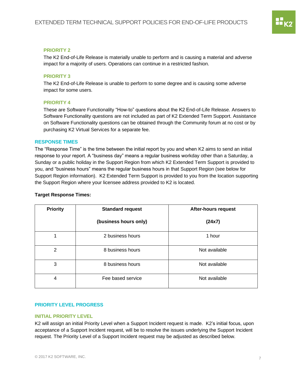#### <span id="page-7-0"></span>**PRIORITY 2**

The K2 End-of-Life Release is materially unable to perform and is causing a material and adverse impact for a majority of users. Operations can continue in a restricted fashion.

#### <span id="page-7-1"></span>**PRIORITY 3**

The K2 End-of-Life Release is unable to perform to some degree and is causing some adverse impact for some users.

#### <span id="page-7-2"></span>**PRIORITY 4**

These are Software Functionality "How-to" questions about the K2 End-of-Life Release. Answers to Software Functionality questions are not included as part of K2 Extended Term Support. Assistance on Software Functionality questions can be obtained through the Community forum at no cost or by purchasing K2 Virtual Services for a separate fee.

#### <span id="page-7-3"></span>**RESPONSE TIMES**

The "Response Time" is the time between the initial report by you and when K2 aims to send an initial response to your report. A "business day" means a regular business workday other than a Saturday, a Sunday or a public holiday in the Support Region from which K2 Extended Term Support is provided to you, and "business hours" means the regular business hours in that Support Region (see below for Support Region information). K2 Extended Term Support is provided to you from the location supporting the Support Region where your licensee address provided to K2 is located.

#### **Target Response Times:**

| <b>Priority</b> | <b>Standard request</b> | <b>After-hours request</b> |
|-----------------|-------------------------|----------------------------|
|                 | (business hours only)   | (24x7)                     |
|                 | 2 business hours        | 1 hour                     |
| 2               | 8 business hours        | Not available              |
| 3               | 8 business hours        | Not available              |
| $\overline{4}$  | Fee based service       | Not available              |

#### <span id="page-7-5"></span><span id="page-7-4"></span>**PRIORITY LEVEL PROGRESS**

#### **INITIAL PRIORITY LEVEL**

K2 will assign an initial Priority Level when a Support Incident request is made. K2's initial focus, upon acceptance of a Support Incident request, will be to resolve the issues underlying the Support Incident request. The Priority Level of a Support Incident request may be adjusted as described below.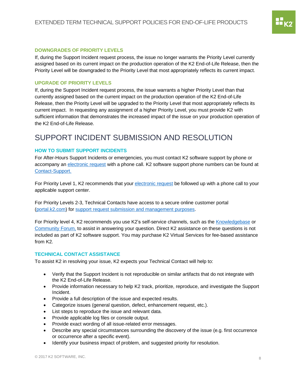#### <span id="page-8-0"></span>**DOWNGRADES OF PRIORITY LEVELS**

If, during the Support Incident request process, the issue no longer warrants the Priority Level currently assigned based on its current impact on the production operation of the K2 End-of-Life Release, then the Priority Level will be downgraded to the Priority Level that most appropriately reflects its current impact.

#### <span id="page-8-1"></span>**UPGRADE OF PRIORITY LEVELS**

If, during the Support Incident request process, the issue warrants a higher Priority Level than that currently assigned based on the current impact on the production operation of the K2 End-of-Life Release, then the Priority Level will be upgraded to the Priority Level that most appropriately reflects its current impact. In requesting any assignment of a higher Priority Level, you must provide K2 with sufficient information that demonstrates the increased impact of the issue on your production operation of the K2 End-of-Life Release.

## <span id="page-8-2"></span>SUPPORT INCIDENT SUBMISSION AND RESOLUTION

#### <span id="page-8-3"></span>**HOW TO SUBMIT SUPPORT INCIDENTS**

For After-Hours Support Incidents or emergencies, you must contact K2 software support by phone or accompany an [electronic request](https://portal.k2.com/ticket) with a phone call. K2 software support phone numbers can be found at [Contact-Support.](http://www.k2.com/support-services/support/contact-support)

For Priority Level 1, K2 recommends that you[r electronic request](https://portal.k2.com/ticket) be followed up with a phone call to your applicable support center.

For Priority Levels 2-3, Technical Contacts have access to a secure online customer portal [\(portal.k2.com\)](https://portal.k2.com/) for support request [submission and management purposes.](https://portal.k2.com/ticket)

For Priority level 4, K2 recommends you use K2's self-service channels, such as the [Knowledgebase](http://help.k2.com/) or [Community Forum,](http://community.k2.com/) to assist in answering your question. Direct K2 assistance on these questions is not included as part of K2 software support. You may purchase K2 Virtual Services for fee-based assistance from K2.

#### <span id="page-8-4"></span>**TECHNICAL CONTACT ASSISTANCE**

To assist K2 in resolving your issue, K2 expects your Technical Contact will help to:

- Verify that the Support Incident is not reproducible on similar artifacts that do not integrate with the K2 End-of-Life Release.
- Provide information necessary to help K2 track, prioritize, reproduce, and investigate the Support Incident.
- Provide a full description of the issue and expected results.
- Categorize issues (general question, defect, enhancement request, etc.).
- List steps to reproduce the issue and relevant data.
- Provide applicable log files or console output.
- Provide exact wording of all issue‐related error messages.
- Describe any special circumstances surrounding the discovery of the issue (e.g. first occurrence or occurrence after a specific event).
- Identify your business impact of problem, and suggested priority for resolution.